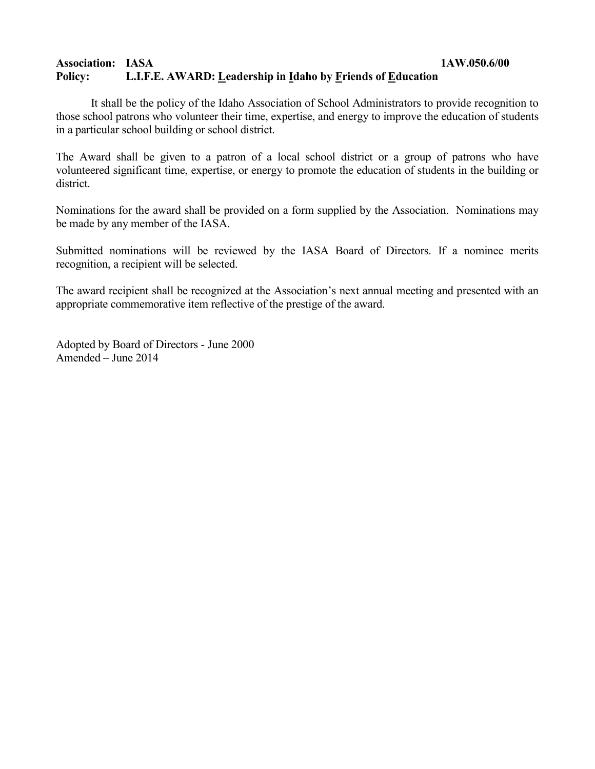### **Association: IASA 1AW.050.6/00 Policy: L.I.F.E. AWARD: Leadership in Idaho by Friends of Education**

It shall be the policy of the Idaho Association of School Administrators to provide recognition to those school patrons who volunteer their time, expertise, and energy to improve the education of students in a particular school building or school district.

The Award shall be given to a patron of a local school district or a group of patrons who have volunteered significant time, expertise, or energy to promote the education of students in the building or district.

Nominations for the award shall be provided on a form supplied by the Association. Nominations may be made by any member of the IASA.

Submitted nominations will be reviewed by the IASA Board of Directors. If a nominee merits recognition, a recipient will be selected.

The award recipient shall be recognized at the Association's next annual meeting and presented with an appropriate commemorative item reflective of the prestige of the award.

Adopted by Board of Directors - June 2000 Amended – June 2014